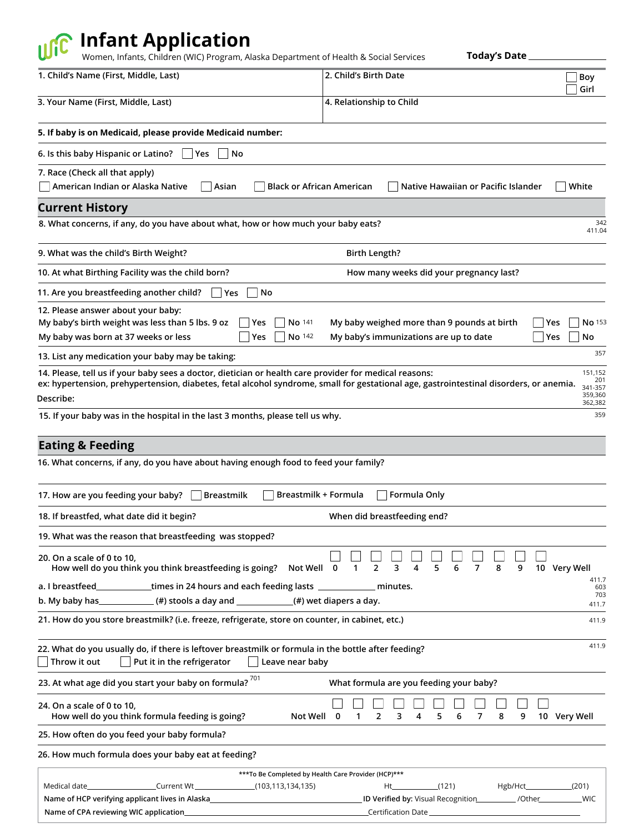## **Infant Application**

Women, Infants, Children (WIC) Program, Alaska Department of Health & Social Services

**Today's Date** 

| 1. Child's Name (First, Middle, Last)                                                                                                                                                                                                                         | 2. Child's Birth Date<br>Boy                                                                               |
|---------------------------------------------------------------------------------------------------------------------------------------------------------------------------------------------------------------------------------------------------------------|------------------------------------------------------------------------------------------------------------|
| 3. Your Name (First, Middle, Last)                                                                                                                                                                                                                            | Girl<br>4. Relationship to Child                                                                           |
| 5. If baby is on Medicaid, please provide Medicaid number:                                                                                                                                                                                                    |                                                                                                            |
| 6. Is this baby Hispanic or Latino?<br>  Yes<br>No                                                                                                                                                                                                            |                                                                                                            |
| 7. Race (Check all that apply)                                                                                                                                                                                                                                |                                                                                                            |
| American Indian or Alaska Native<br>Asian                                                                                                                                                                                                                     | <b>White</b><br><b>Black or African American</b><br>Native Hawaiian or Pacific Islander                    |
| <b>Current History</b>                                                                                                                                                                                                                                        |                                                                                                            |
| 8. What concerns, if any, do you have about what, how or how much your baby eats?                                                                                                                                                                             | 342<br>411.04                                                                                              |
| 9. What was the child's Birth Weight?                                                                                                                                                                                                                         | <b>Birth Length?</b>                                                                                       |
| 10. At what Birthing Facility was the child born?                                                                                                                                                                                                             | How many weeks did your pregnancy last?                                                                    |
| 11. Are you breastfeeding another child?<br>Yes<br>No                                                                                                                                                                                                         |                                                                                                            |
| 12. Please answer about your baby:                                                                                                                                                                                                                            |                                                                                                            |
| My baby's birth weight was less than 5 lbs. 9 oz<br>No 141<br> Yes                                                                                                                                                                                            | My baby weighed more than 9 pounds at birth<br>No 153<br>Yes                                               |
| My baby was born at 37 weeks or less<br>Yes<br>No 142                                                                                                                                                                                                         | My baby's immunizations are up to date<br>No<br>Yes                                                        |
| 13. List any medication your baby may be taking:                                                                                                                                                                                                              | 357                                                                                                        |
| 14. Please, tell us if your baby sees a doctor, dietician or health care provider for medical reasons:<br>ex: hypertension, prehypertension, diabetes, fetal alcohol syndrome, small for gestational age, gastrointestinal disorders, or anemia.<br>Describe: | 151,152<br>201<br>341-357<br>359,360                                                                       |
| 15. If your baby was in the hospital in the last 3 months, please tell us why.                                                                                                                                                                                | 362,382<br>359                                                                                             |
|                                                                                                                                                                                                                                                               |                                                                                                            |
| <b>Eating &amp; Feeding</b>                                                                                                                                                                                                                                   |                                                                                                            |
| 16. What concerns, if any, do you have about having enough food to feed your family?                                                                                                                                                                          |                                                                                                            |
| 17. How are you feeding your baby?<br><b>Breastmilk</b>                                                                                                                                                                                                       | Breastmilk + Formula<br>Formula Only                                                                       |
| 18. If breastfed, what date did it begin?                                                                                                                                                                                                                     | When did breastfeeding end?                                                                                |
| 19. What was the reason that breastfeeding was stopped?                                                                                                                                                                                                       |                                                                                                            |
| 20. On a scale of 0 to 10,<br>How well do you think you think breastfeeding is going? Not Well                                                                                                                                                                | 3<br>5<br>6<br>$\overline{7}$<br>10 Very Well<br>0<br>2<br>4<br>8<br>9<br>1                                |
| a. I breastfeed___________times in 24 hours and each feeding lasts _____________ minutes.                                                                                                                                                                     | 411.7<br>603                                                                                               |
| b. My baby has $($ #) stools a day and $($ #) wet diapers a day.                                                                                                                                                                                              | 703<br>411.7                                                                                               |
| 21. How do you store breastmilk? (i.e. freeze, refrigerate, store on counter, in cabinet, etc.)                                                                                                                                                               | 411.9                                                                                                      |
| 22. What do you usually do, if there is leftover breastmilk or formula in the bottle after feeding?<br>Throw it out<br>Put it in the refrigerator<br>Leave near baby                                                                                          | 411.9                                                                                                      |
| 23. At what age did you start your baby on formula? $701$                                                                                                                                                                                                     | What formula are you feeding your baby?                                                                    |
| 24. On a scale of 0 to 10,<br>How well do you think formula feeding is going?<br>Not Well                                                                                                                                                                     | 5<br>10 Very Well<br>2<br>3<br>4<br>6<br>7<br>8<br>9<br>0<br>1                                             |
| 25. How often do you feed your baby formula?                                                                                                                                                                                                                  |                                                                                                            |
| 26. How much formula does your baby eat at feeding?                                                                                                                                                                                                           |                                                                                                            |
|                                                                                                                                                                                                                                                               | *** To Be Completed by Health Care Provider (HCP)***                                                       |
| Medical date_________________________Current Wt __________________(103,113,134,135)<br>Name of HCP verifying applicant lives in Alaska_________________________________                                                                                       | (121)<br>$Hgb/Hct$ (201)<br>Ht_<br>ID Verified by: Visual Recognition ___________ /Other _____________ WIC |
| Name of CPA reviewing WIC application_                                                                                                                                                                                                                        |                                                                                                            |
|                                                                                                                                                                                                                                                               |                                                                                                            |